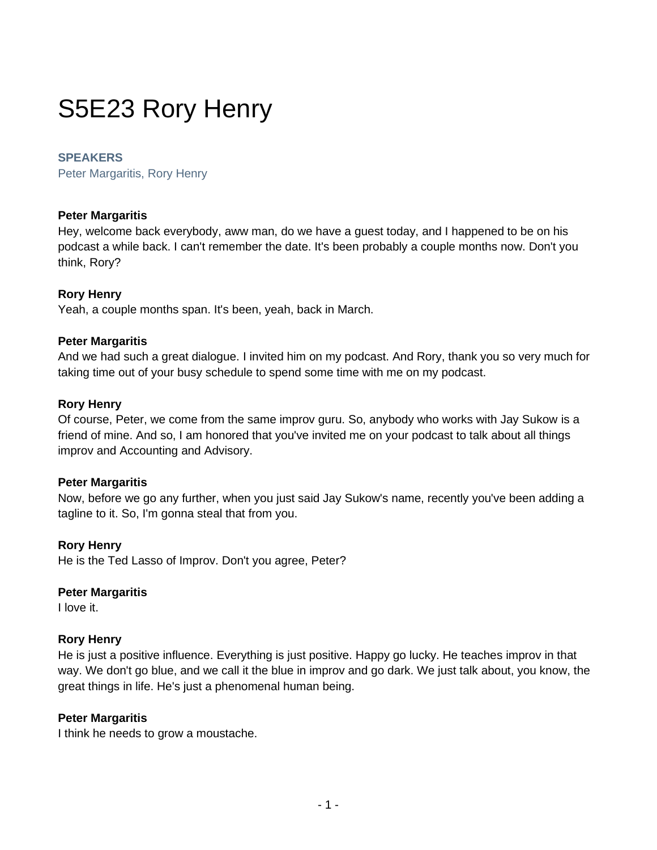# S5E23 Rory Henry

#### **SPEAKERS**

Peter Margaritis, Rory Henry

#### **Peter Margaritis**

Hey, welcome back everybody, aww man, do we have a guest today, and I happened to be on his podcast a while back. I can't remember the date. It's been probably a couple months now. Don't you think, Rory?

#### **Rory Henry**

Yeah, a couple months span. It's been, yeah, back in March.

#### **Peter Margaritis**

And we had such a great dialogue. I invited him on my podcast. And Rory, thank you so very much for taking time out of your busy schedule to spend some time with me on my podcast.

#### **Rory Henry**

Of course, Peter, we come from the same improv guru. So, anybody who works with Jay Sukow is a friend of mine. And so, I am honored that you've invited me on your podcast to talk about all things improv and Accounting and Advisory.

#### **Peter Margaritis**

Now, before we go any further, when you just said Jay Sukow's name, recently you've been adding a tagline to it. So, I'm gonna steal that from you.

#### **Rory Henry**

He is the Ted Lasso of Improv. Don't you agree, Peter?

#### **Peter Margaritis**

I love it.

#### **Rory Henry**

He is just a positive influence. Everything is just positive. Happy go lucky. He teaches improv in that way. We don't go blue, and we call it the blue in improv and go dark. We just talk about, you know, the great things in life. He's just a phenomenal human being.

#### **Peter Margaritis**

I think he needs to grow a moustache.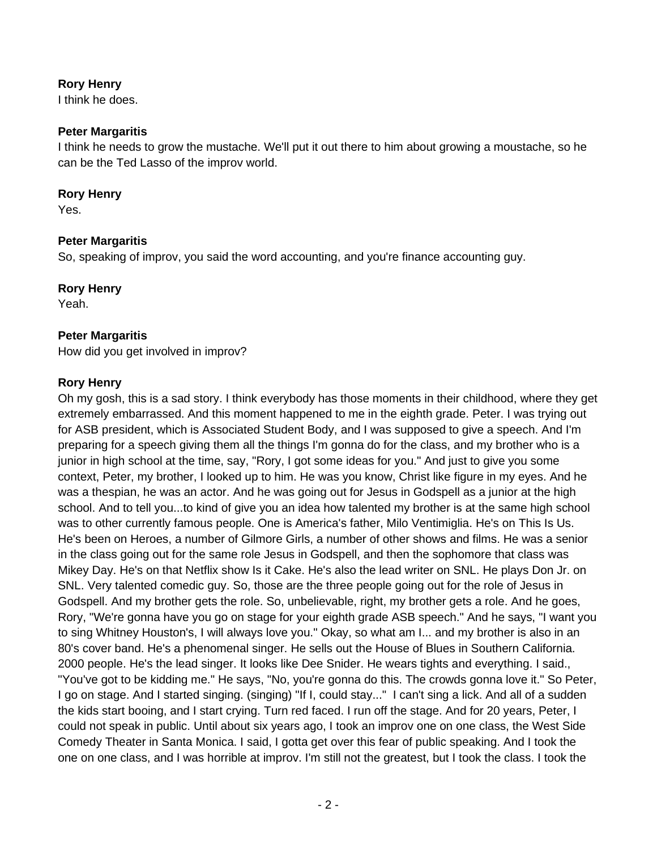I think he does.

## **Peter Margaritis**

I think he needs to grow the mustache. We'll put it out there to him about growing a moustache, so he can be the Ted Lasso of the improv world.

#### **Rory Henry**

Yes.

## **Peter Margaritis**

So, speaking of improv, you said the word accounting, and you're finance accounting guy.

## **Rory Henry**

Yeah.

## **Peter Margaritis**

How did you get involved in improv?

#### **Rory Henry**

Oh my gosh, this is a sad story. I think everybody has those moments in their childhood, where they get extremely embarrassed. And this moment happened to me in the eighth grade. Peter. I was trying out for ASB president, which is Associated Student Body, and I was supposed to give a speech. And I'm preparing for a speech giving them all the things I'm gonna do for the class, and my brother who is a junior in high school at the time, say, "Rory, I got some ideas for you." And just to give you some context, Peter, my brother, I looked up to him. He was you know, Christ like figure in my eyes. And he was a thespian, he was an actor. And he was going out for Jesus in Godspell as a junior at the high school. And to tell you...to kind of give you an idea how talented my brother is at the same high school was to other currently famous people. One is America's father, Milo Ventimiglia. He's on This Is Us. He's been on Heroes, a number of Gilmore Girls, a number of other shows and films. He was a senior in the class going out for the same role Jesus in Godspell, and then the sophomore that class was Mikey Day. He's on that Netflix show Is it Cake. He's also the lead writer on SNL. He plays Don Jr. on SNL. Very talented comedic guy. So, those are the three people going out for the role of Jesus in Godspell. And my brother gets the role. So, unbelievable, right, my brother gets a role. And he goes, Rory, "We're gonna have you go on stage for your eighth grade ASB speech." And he says, "I want you to sing Whitney Houston's, I will always love you." Okay, so what am I... and my brother is also in an 80's cover band. He's a phenomenal singer. He sells out the House of Blues in Southern California. 2000 people. He's the lead singer. It looks like Dee Snider. He wears tights and everything. I said., "You've got to be kidding me." He says, "No, you're gonna do this. The crowds gonna love it." So Peter, I go on stage. And I started singing. (singing) "If I, could stay..." I can't sing a lick. And all of a sudden the kids start booing, and I start crying. Turn red faced. I run off the stage. And for 20 years, Peter, I could not speak in public. Until about six years ago, I took an improv one on one class, the West Side Comedy Theater in Santa Monica. I said, I gotta get over this fear of public speaking. And I took the one on one class, and I was horrible at improv. I'm still not the greatest, but I took the class. I took the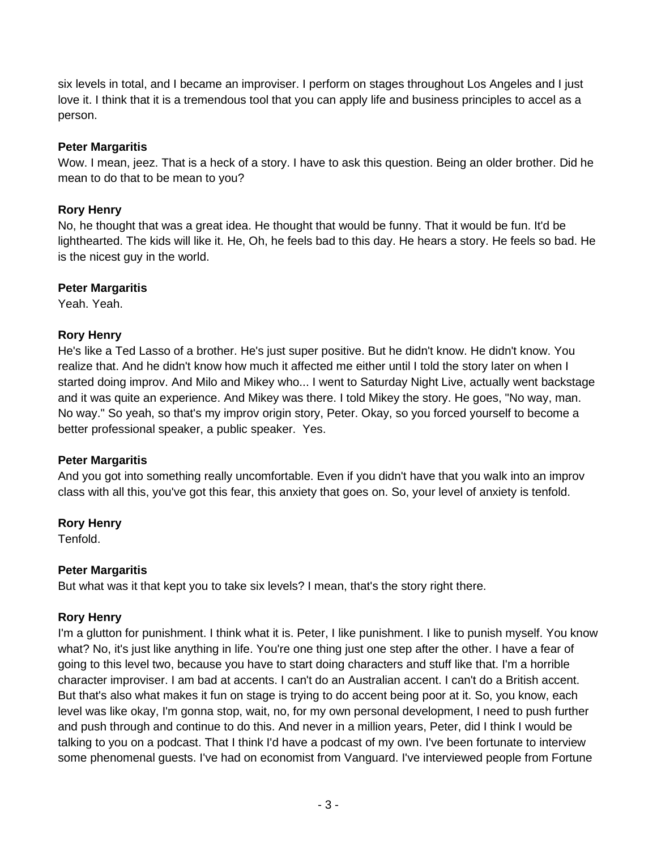six levels in total, and I became an improviser. I perform on stages throughout Los Angeles and I just love it. I think that it is a tremendous tool that you can apply life and business principles to accel as a person.

## **Peter Margaritis**

Wow. I mean, jeez. That is a heck of a story. I have to ask this question. Being an older brother. Did he mean to do that to be mean to you?

## **Rory Henry**

No, he thought that was a great idea. He thought that would be funny. That it would be fun. It'd be lighthearted. The kids will like it. He, Oh, he feels bad to this day. He hears a story. He feels so bad. He is the nicest guy in the world.

## **Peter Margaritis**

Yeah. Yeah.

## **Rory Henry**

He's like a Ted Lasso of a brother. He's just super positive. But he didn't know. He didn't know. You realize that. And he didn't know how much it affected me either until I told the story later on when I started doing improv. And Milo and Mikey who... I went to Saturday Night Live, actually went backstage and it was quite an experience. And Mikey was there. I told Mikey the story. He goes, "No way, man. No way." So yeah, so that's my improv origin story, Peter. Okay, so you forced yourself to become a better professional speaker, a public speaker. Yes.

## **Peter Margaritis**

And you got into something really uncomfortable. Even if you didn't have that you walk into an improv class with all this, you've got this fear, this anxiety that goes on. So, your level of anxiety is tenfold.

## **Rory Henry**

Tenfold.

## **Peter Margaritis**

But what was it that kept you to take six levels? I mean, that's the story right there.

## **Rory Henry**

I'm a glutton for punishment. I think what it is. Peter, I like punishment. I like to punish myself. You know what? No, it's just like anything in life. You're one thing just one step after the other. I have a fear of going to this level two, because you have to start doing characters and stuff like that. I'm a horrible character improviser. I am bad at accents. I can't do an Australian accent. I can't do a British accent. But that's also what makes it fun on stage is trying to do accent being poor at it. So, you know, each level was like okay, I'm gonna stop, wait, no, for my own personal development, I need to push further and push through and continue to do this. And never in a million years, Peter, did I think I would be talking to you on a podcast. That I think I'd have a podcast of my own. I've been fortunate to interview some phenomenal guests. I've had on economist from Vanguard. I've interviewed people from Fortune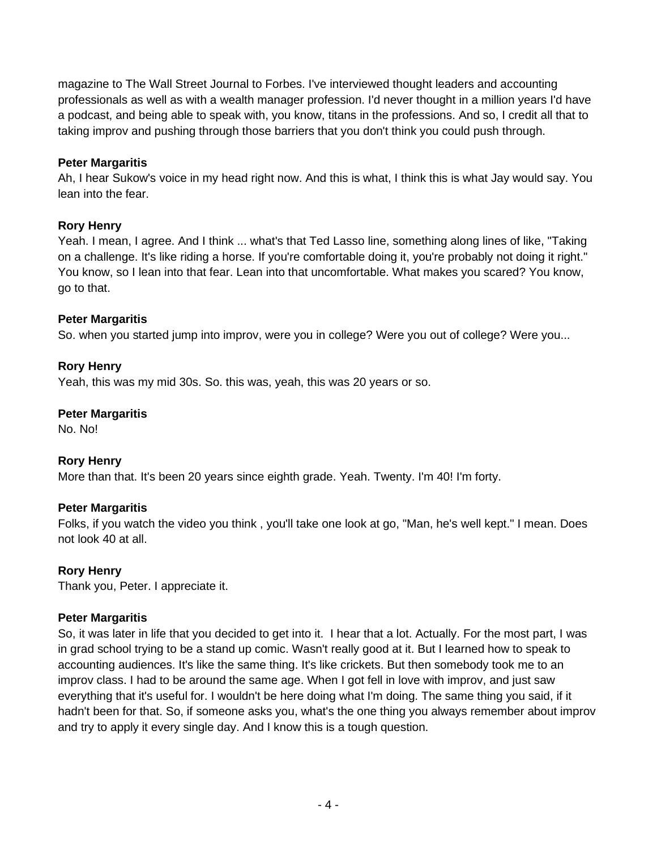magazine to The Wall Street Journal to Forbes. I've interviewed thought leaders and accounting professionals as well as with a wealth manager profession. I'd never thought in a million years I'd have a podcast, and being able to speak with, you know, titans in the professions. And so, I credit all that to taking improv and pushing through those barriers that you don't think you could push through.

## **Peter Margaritis**

Ah, I hear Sukow's voice in my head right now. And this is what, I think this is what Jay would say. You lean into the fear.

## **Rory Henry**

Yeah. I mean, I agree. And I think ... what's that Ted Lasso line, something along lines of like, "Taking on a challenge. It's like riding a horse. If you're comfortable doing it, you're probably not doing it right." You know, so I lean into that fear. Lean into that uncomfortable. What makes you scared? You know, go to that.

## **Peter Margaritis**

So. when you started jump into improv, were you in college? Were you out of college? Were you...

## **Rory Henry**

Yeah, this was my mid 30s. So. this was, yeah, this was 20 years or so.

## **Peter Margaritis**

No. No!

## **Rory Henry**

More than that. It's been 20 years since eighth grade. Yeah. Twenty. I'm 40! I'm forty.

## **Peter Margaritis**

Folks, if you watch the video you think , you'll take one look at go, "Man, he's well kept." I mean. Does not look 40 at all.

## **Rory Henry**

Thank you, Peter. I appreciate it.

## **Peter Margaritis**

So, it was later in life that you decided to get into it. I hear that a lot. Actually. For the most part, I was in grad school trying to be a stand up comic. Wasn't really good at it. But I learned how to speak to accounting audiences. It's like the same thing. It's like crickets. But then somebody took me to an improv class. I had to be around the same age. When I got fell in love with improv, and just saw everything that it's useful for. I wouldn't be here doing what I'm doing. The same thing you said, if it hadn't been for that. So, if someone asks you, what's the one thing you always remember about improv and try to apply it every single day. And I know this is a tough question.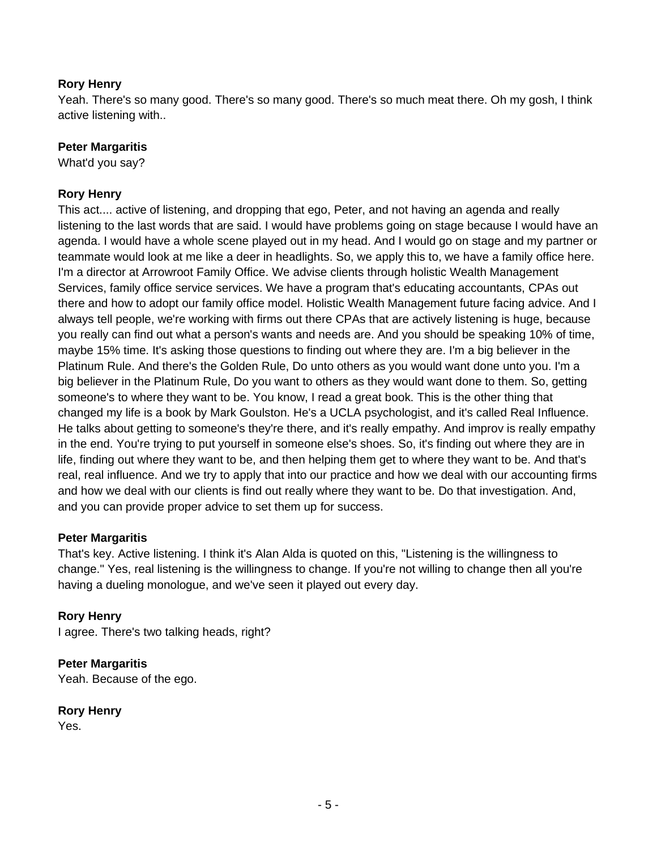Yeah. There's so many good. There's so many good. There's so much meat there. Oh my gosh, I think active listening with..

#### **Peter Margaritis**

What'd you say?

#### **Rory Henry**

This act.... active of listening, and dropping that ego, Peter, and not having an agenda and really listening to the last words that are said. I would have problems going on stage because I would have an agenda. I would have a whole scene played out in my head. And I would go on stage and my partner or teammate would look at me like a deer in headlights. So, we apply this to, we have a family office here. I'm a director at Arrowroot Family Office. We advise clients through holistic Wealth Management Services, family office service services. We have a program that's educating accountants, CPAs out there and how to adopt our family office model. Holistic Wealth Management future facing advice. And I always tell people, we're working with firms out there CPAs that are actively listening is huge, because you really can find out what a person's wants and needs are. And you should be speaking 10% of time, maybe 15% time. It's asking those questions to finding out where they are. I'm a big believer in the Platinum Rule. And there's the Golden Rule, Do unto others as you would want done unto you. I'm a big believer in the Platinum Rule, Do you want to others as they would want done to them. So, getting someone's to where they want to be. You know, I read a great book. This is the other thing that changed my life is a book by Mark Goulston. He's a UCLA psychologist, and it's called Real Influence. He talks about getting to someone's they're there, and it's really empathy. And improv is really empathy in the end. You're trying to put yourself in someone else's shoes. So, it's finding out where they are in life, finding out where they want to be, and then helping them get to where they want to be. And that's real, real influence. And we try to apply that into our practice and how we deal with our accounting firms and how we deal with our clients is find out really where they want to be. Do that investigation. And, and you can provide proper advice to set them up for success.

#### **Peter Margaritis**

That's key. Active listening. I think it's Alan Alda is quoted on this, "Listening is the willingness to change." Yes, real listening is the willingness to change. If you're not willing to change then all you're having a dueling monologue, and we've seen it played out every day.

#### **Rory Henry**

I agree. There's two talking heads, right?

## **Peter Margaritis**

Yeah. Because of the ego.

#### **Rory Henry**

Yes.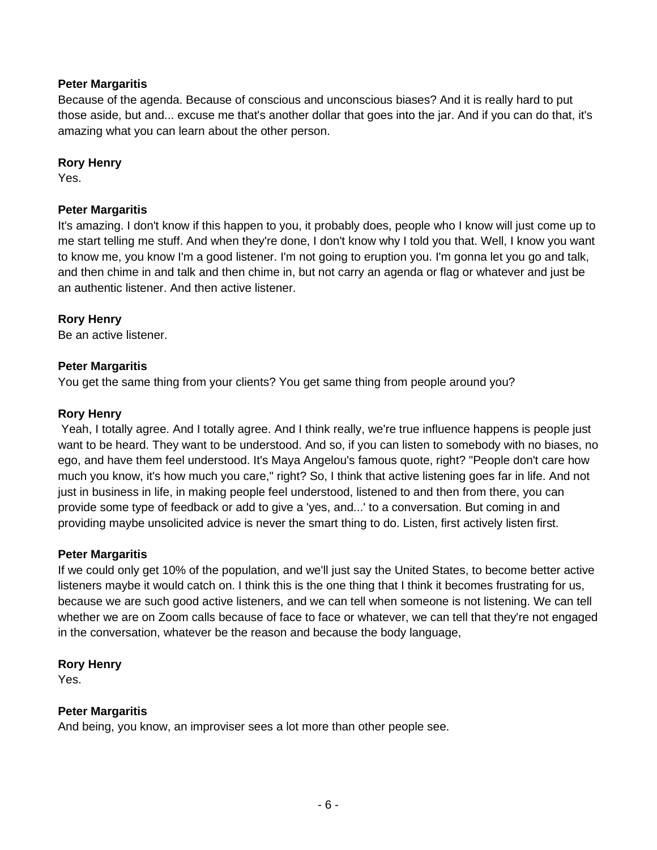## **Peter Margaritis**

Because of the agenda. Because of conscious and unconscious biases? And it is really hard to put those aside, but and... excuse me that's another dollar that goes into the jar. And if you can do that, it's amazing what you can learn about the other person.

#### **Rory Henry**

Yes.

## **Peter Margaritis**

It's amazing. I don't know if this happen to you, it probably does, people who I know will just come up to me start telling me stuff. And when they're done, I don't know why I told you that. Well, I know you want to know me, you know I'm a good listener. I'm not going to eruption you. I'm gonna let you go and talk, and then chime in and talk and then chime in, but not carry an agenda or flag or whatever and just be an authentic listener. And then active listener.

#### **Rory Henry**

Be an active listener.

#### **Peter Margaritis**

You get the same thing from your clients? You get same thing from people around you?

#### **Rory Henry**

Yeah, I totally agree. And I totally agree. And I think really, we're true influence happens is people just want to be heard. They want to be understood. And so, if you can listen to somebody with no biases, no ego, and have them feel understood. It's Maya Angelou's famous quote, right? "People don't care how much you know, it's how much you care," right? So, I think that active listening goes far in life. And not just in business in life, in making people feel understood, listened to and then from there, you can provide some type of feedback or add to give a 'yes, and...' to a conversation. But coming in and providing maybe unsolicited advice is never the smart thing to do. Listen, first actively listen first.

#### **Peter Margaritis**

If we could only get 10% of the population, and we'll just say the United States, to become better active listeners maybe it would catch on. I think this is the one thing that I think it becomes frustrating for us, because we are such good active listeners, and we can tell when someone is not listening. We can tell whether we are on Zoom calls because of face to face or whatever, we can tell that they're not engaged in the conversation, whatever be the reason and because the body language,

#### **Rory Henry**

Yes.

#### **Peter Margaritis**

And being, you know, an improviser sees a lot more than other people see.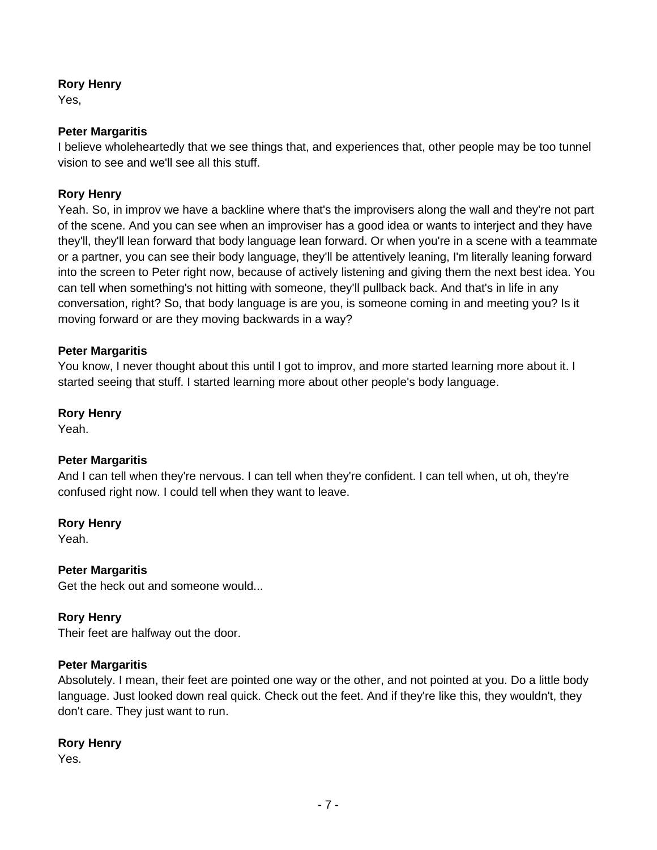Yes,

#### **Peter Margaritis**

I believe wholeheartedly that we see things that, and experiences that, other people may be too tunnel vision to see and we'll see all this stuff.

## **Rory Henry**

Yeah. So, in improv we have a backline where that's the improvisers along the wall and they're not part of the scene. And you can see when an improviser has a good idea or wants to interject and they have they'll, they'll lean forward that body language lean forward. Or when you're in a scene with a teammate or a partner, you can see their body language, they'll be attentively leaning, I'm literally leaning forward into the screen to Peter right now, because of actively listening and giving them the next best idea. You can tell when something's not hitting with someone, they'll pullback back. And that's in life in any conversation, right? So, that body language is are you, is someone coming in and meeting you? Is it moving forward or are they moving backwards in a way?

#### **Peter Margaritis**

You know, I never thought about this until I got to improv, and more started learning more about it. I started seeing that stuff. I started learning more about other people's body language.

#### **Rory Henry**

Yeah.

## **Peter Margaritis**

And I can tell when they're nervous. I can tell when they're confident. I can tell when, ut oh, they're confused right now. I could tell when they want to leave.

#### **Rory Henry**

Yeah.

#### **Peter Margaritis**

Get the heck out and someone would...

## **Rory Henry**

Their feet are halfway out the door.

#### **Peter Margaritis**

Absolutely. I mean, their feet are pointed one way or the other, and not pointed at you. Do a little body language. Just looked down real quick. Check out the feet. And if they're like this, they wouldn't, they don't care. They just want to run.

#### **Rory Henry**

Yes.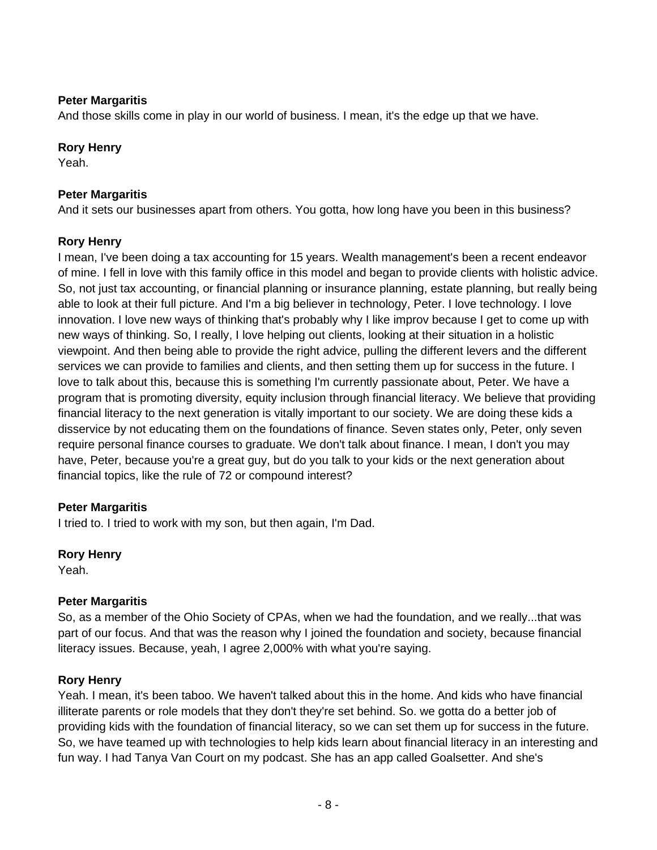## **Peter Margaritis**

And those skills come in play in our world of business. I mean, it's the edge up that we have.

#### **Rory Henry**

Yeah.

#### **Peter Margaritis**

And it sets our businesses apart from others. You gotta, how long have you been in this business?

#### **Rory Henry**

I mean, I've been doing a tax accounting for 15 years. Wealth management's been a recent endeavor of mine. I fell in love with this family office in this model and began to provide clients with holistic advice. So, not just tax accounting, or financial planning or insurance planning, estate planning, but really being able to look at their full picture. And I'm a big believer in technology, Peter. I love technology. I love innovation. I love new ways of thinking that's probably why I like improv because I get to come up with new ways of thinking. So, I really, I love helping out clients, looking at their situation in a holistic viewpoint. And then being able to provide the right advice, pulling the different levers and the different services we can provide to families and clients, and then setting them up for success in the future. I love to talk about this, because this is something I'm currently passionate about, Peter. We have a program that is promoting diversity, equity inclusion through financial literacy. We believe that providing financial literacy to the next generation is vitally important to our society. We are doing these kids a disservice by not educating them on the foundations of finance. Seven states only, Peter, only seven require personal finance courses to graduate. We don't talk about finance. I mean, I don't you may have, Peter, because you're a great guy, but do you talk to your kids or the next generation about financial topics, like the rule of 72 or compound interest?

#### **Peter Margaritis**

I tried to. I tried to work with my son, but then again, I'm Dad.

#### **Rory Henry**

Yeah.

#### **Peter Margaritis**

So, as a member of the Ohio Society of CPAs, when we had the foundation, and we really...that was part of our focus. And that was the reason why I joined the foundation and society, because financial literacy issues. Because, yeah, I agree 2,000% with what you're saying.

#### **Rory Henry**

Yeah. I mean, it's been taboo. We haven't talked about this in the home. And kids who have financial illiterate parents or role models that they don't they're set behind. So. we gotta do a better job of providing kids with the foundation of financial literacy, so we can set them up for success in the future. So, we have teamed up with technologies to help kids learn about financial literacy in an interesting and fun way. I had Tanya Van Court on my podcast. She has an app called Goalsetter. And she's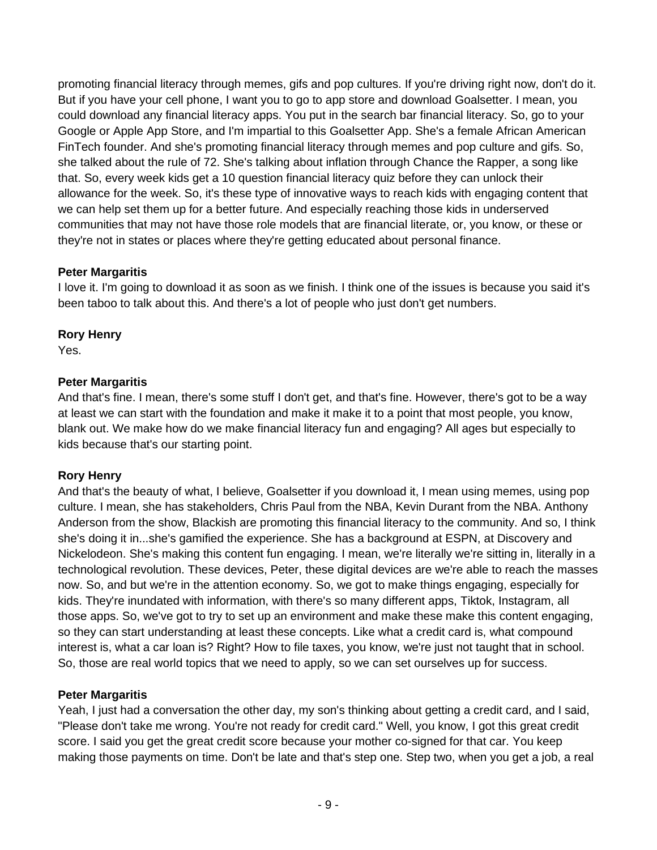promoting financial literacy through memes, gifs and pop cultures. If you're driving right now, don't do it. But if you have your cell phone, I want you to go to app store and download Goalsetter. I mean, you could download any financial literacy apps. You put in the search bar financial literacy. So, go to your Google or Apple App Store, and I'm impartial to this Goalsetter App. She's a female African American FinTech founder. And she's promoting financial literacy through memes and pop culture and gifs. So, she talked about the rule of 72. She's talking about inflation through Chance the Rapper, a song like that. So, every week kids get a 10 question financial literacy quiz before they can unlock their allowance for the week. So, it's these type of innovative ways to reach kids with engaging content that we can help set them up for a better future. And especially reaching those kids in underserved communities that may not have those role models that are financial literate, or, you know, or these or they're not in states or places where they're getting educated about personal finance.

## **Peter Margaritis**

I love it. I'm going to download it as soon as we finish. I think one of the issues is because you said it's been taboo to talk about this. And there's a lot of people who just don't get numbers.

## **Rory Henry**

Yes.

## **Peter Margaritis**

And that's fine. I mean, there's some stuff I don't get, and that's fine. However, there's got to be a way at least we can start with the foundation and make it make it to a point that most people, you know, blank out. We make how do we make financial literacy fun and engaging? All ages but especially to kids because that's our starting point.

## **Rory Henry**

And that's the beauty of what, I believe, Goalsetter if you download it, I mean using memes, using pop culture. I mean, she has stakeholders, Chris Paul from the NBA, Kevin Durant from the NBA. Anthony Anderson from the show, Blackish are promoting this financial literacy to the community. And so, I think she's doing it in...she's gamified the experience. She has a background at ESPN, at Discovery and Nickelodeon. She's making this content fun engaging. I mean, we're literally we're sitting in, literally in a technological revolution. These devices, Peter, these digital devices are we're able to reach the masses now. So, and but we're in the attention economy. So, we got to make things engaging, especially for kids. They're inundated with information, with there's so many different apps, Tiktok, Instagram, all those apps. So, we've got to try to set up an environment and make these make this content engaging, so they can start understanding at least these concepts. Like what a credit card is, what compound interest is, what a car loan is? Right? How to file taxes, you know, we're just not taught that in school. So, those are real world topics that we need to apply, so we can set ourselves up for success.

## **Peter Margaritis**

Yeah, I just had a conversation the other day, my son's thinking about getting a credit card, and I said, "Please don't take me wrong. You're not ready for credit card." Well, you know, I got this great credit score. I said you get the great credit score because your mother co-signed for that car. You keep making those payments on time. Don't be late and that's step one. Step two, when you get a job, a real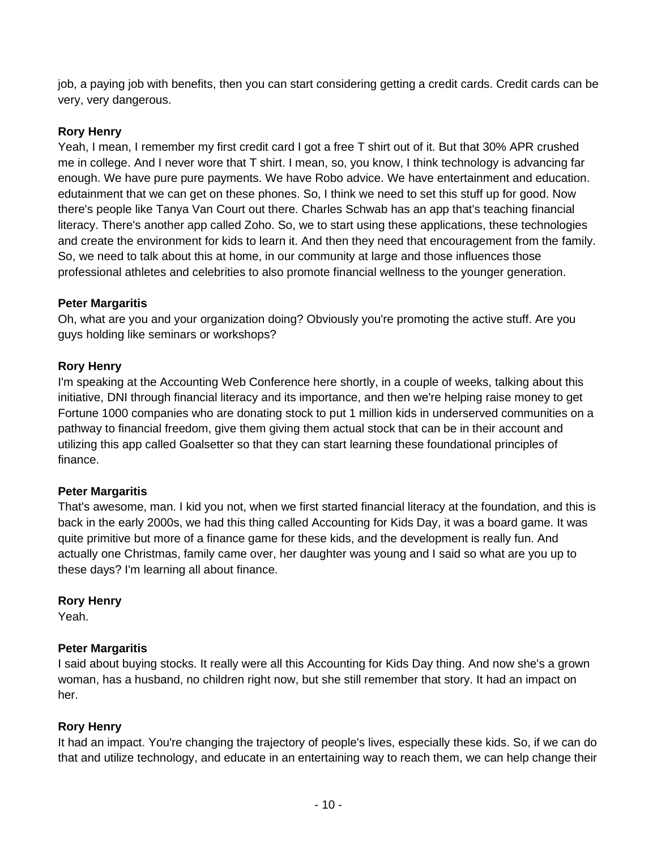job, a paying job with benefits, then you can start considering getting a credit cards. Credit cards can be very, very dangerous.

## **Rory Henry**

Yeah, I mean, I remember my first credit card I got a free T shirt out of it. But that 30% APR crushed me in college. And I never wore that T shirt. I mean, so, you know, I think technology is advancing far enough. We have pure pure payments. We have Robo advice. We have entertainment and education. edutainment that we can get on these phones. So, I think we need to set this stuff up for good. Now there's people like Tanya Van Court out there. Charles Schwab has an app that's teaching financial literacy. There's another app called Zoho. So, we to start using these applications, these technologies and create the environment for kids to learn it. And then they need that encouragement from the family. So, we need to talk about this at home, in our community at large and those influences those professional athletes and celebrities to also promote financial wellness to the younger generation.

## **Peter Margaritis**

Oh, what are you and your organization doing? Obviously you're promoting the active stuff. Are you guys holding like seminars or workshops?

## **Rory Henry**

I'm speaking at the Accounting Web Conference here shortly, in a couple of weeks, talking about this initiative, DNI through financial literacy and its importance, and then we're helping raise money to get Fortune 1000 companies who are donating stock to put 1 million kids in underserved communities on a pathway to financial freedom, give them giving them actual stock that can be in their account and utilizing this app called Goalsetter so that they can start learning these foundational principles of finance.

## **Peter Margaritis**

That's awesome, man. I kid you not, when we first started financial literacy at the foundation, and this is back in the early 2000s, we had this thing called Accounting for Kids Day, it was a board game. It was quite primitive but more of a finance game for these kids, and the development is really fun. And actually one Christmas, family came over, her daughter was young and I said so what are you up to these days? I'm learning all about finance.

## **Rory Henry**

Yeah.

## **Peter Margaritis**

I said about buying stocks. It really were all this Accounting for Kids Day thing. And now she's a grown woman, has a husband, no children right now, but she still remember that story. It had an impact on her.

## **Rory Henry**

It had an impact. You're changing the trajectory of people's lives, especially these kids. So, if we can do that and utilize technology, and educate in an entertaining way to reach them, we can help change their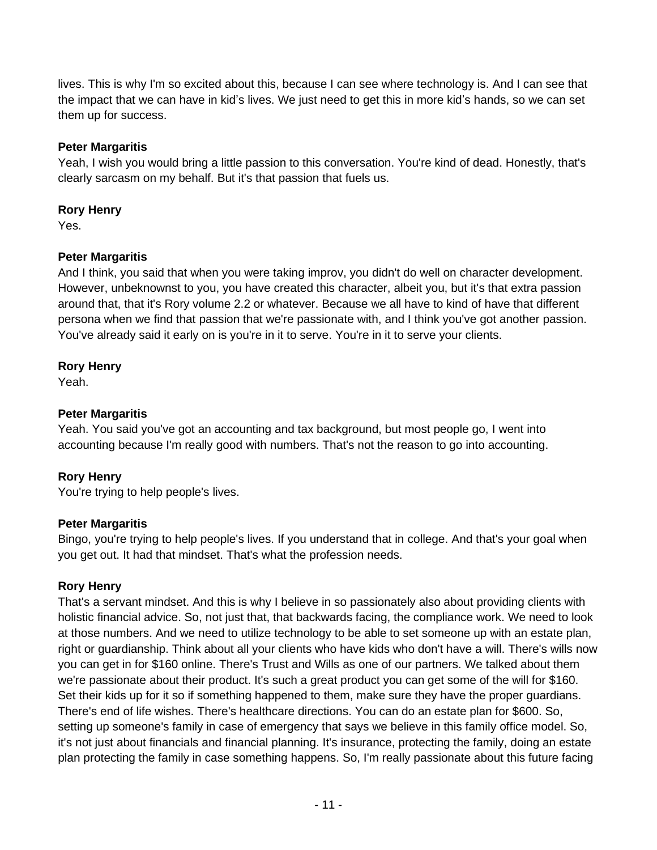lives. This is why I'm so excited about this, because I can see where technology is. And I can see that the impact that we can have in kid's lives. We just need to get this in more kid's hands, so we can set them up for success.

## **Peter Margaritis**

Yeah, I wish you would bring a little passion to this conversation. You're kind of dead. Honestly, that's clearly sarcasm on my behalf. But it's that passion that fuels us.

## **Rory Henry**

Yes.

## **Peter Margaritis**

And I think, you said that when you were taking improv, you didn't do well on character development. However, unbeknownst to you, you have created this character, albeit you, but it's that extra passion around that, that it's Rory volume 2.2 or whatever. Because we all have to kind of have that different persona when we find that passion that we're passionate with, and I think you've got another passion. You've already said it early on is you're in it to serve. You're in it to serve your clients.

## **Rory Henry**

Yeah.

## **Peter Margaritis**

Yeah. You said you've got an accounting and tax background, but most people go, I went into accounting because I'm really good with numbers. That's not the reason to go into accounting.

## **Rory Henry**

You're trying to help people's lives.

## **Peter Margaritis**

Bingo, you're trying to help people's lives. If you understand that in college. And that's your goal when you get out. It had that mindset. That's what the profession needs.

## **Rory Henry**

That's a servant mindset. And this is why I believe in so passionately also about providing clients with holistic financial advice. So, not just that, that backwards facing, the compliance work. We need to look at those numbers. And we need to utilize technology to be able to set someone up with an estate plan, right or guardianship. Think about all your clients who have kids who don't have a will. There's wills now you can get in for \$160 online. There's Trust and Wills as one of our partners. We talked about them we're passionate about their product. It's such a great product you can get some of the will for \$160. Set their kids up for it so if something happened to them, make sure they have the proper guardians. There's end of life wishes. There's healthcare directions. You can do an estate plan for \$600. So, setting up someone's family in case of emergency that says we believe in this family office model. So, it's not just about financials and financial planning. It's insurance, protecting the family, doing an estate plan protecting the family in case something happens. So, I'm really passionate about this future facing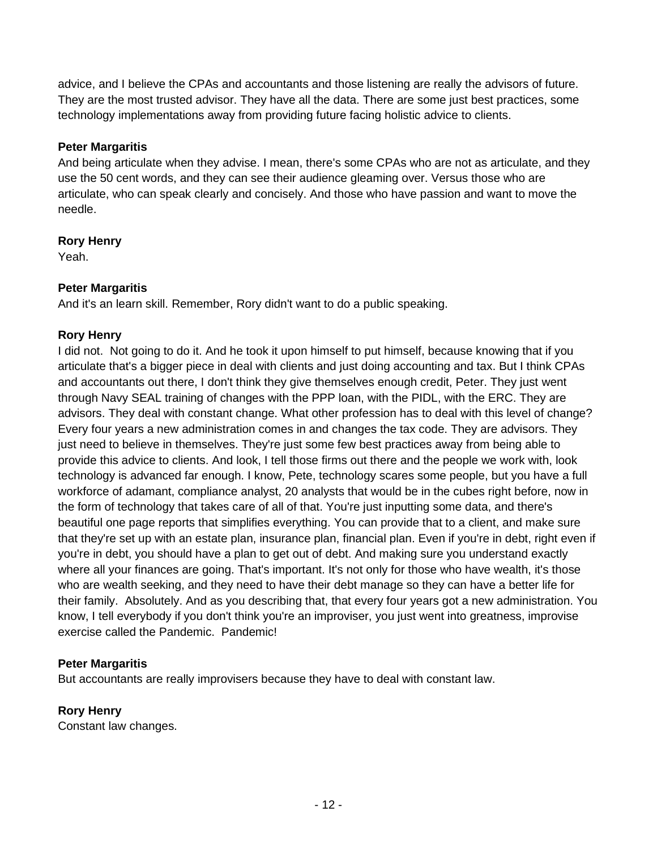advice, and I believe the CPAs and accountants and those listening are really the advisors of future. They are the most trusted advisor. They have all the data. There are some just best practices, some technology implementations away from providing future facing holistic advice to clients.

## **Peter Margaritis**

And being articulate when they advise. I mean, there's some CPAs who are not as articulate, and they use the 50 cent words, and they can see their audience gleaming over. Versus those who are articulate, who can speak clearly and concisely. And those who have passion and want to move the needle.

## **Rory Henry**

Yeah.

## **Peter Margaritis**

And it's an learn skill. Remember, Rory didn't want to do a public speaking.

## **Rory Henry**

I did not. Not going to do it. And he took it upon himself to put himself, because knowing that if you articulate that's a bigger piece in deal with clients and just doing accounting and tax. But I think CPAs and accountants out there, I don't think they give themselves enough credit, Peter. They just went through Navy SEAL training of changes with the PPP loan, with the PIDL, with the ERC. They are advisors. They deal with constant change. What other profession has to deal with this level of change? Every four years a new administration comes in and changes the tax code. They are advisors. They just need to believe in themselves. They're just some few best practices away from being able to provide this advice to clients. And look, I tell those firms out there and the people we work with, look technology is advanced far enough. I know, Pete, technology scares some people, but you have a full workforce of adamant, compliance analyst, 20 analysts that would be in the cubes right before, now in the form of technology that takes care of all of that. You're just inputting some data, and there's beautiful one page reports that simplifies everything. You can provide that to a client, and make sure that they're set up with an estate plan, insurance plan, financial plan. Even if you're in debt, right even if you're in debt, you should have a plan to get out of debt. And making sure you understand exactly where all your finances are going. That's important. It's not only for those who have wealth, it's those who are wealth seeking, and they need to have their debt manage so they can have a better life for their family. Absolutely. And as you describing that, that every four years got a new administration. You know, I tell everybody if you don't think you're an improviser, you just went into greatness, improvise exercise called the Pandemic. Pandemic!

## **Peter Margaritis**

But accountants are really improvisers because they have to deal with constant law.

## **Rory Henry**

Constant law changes.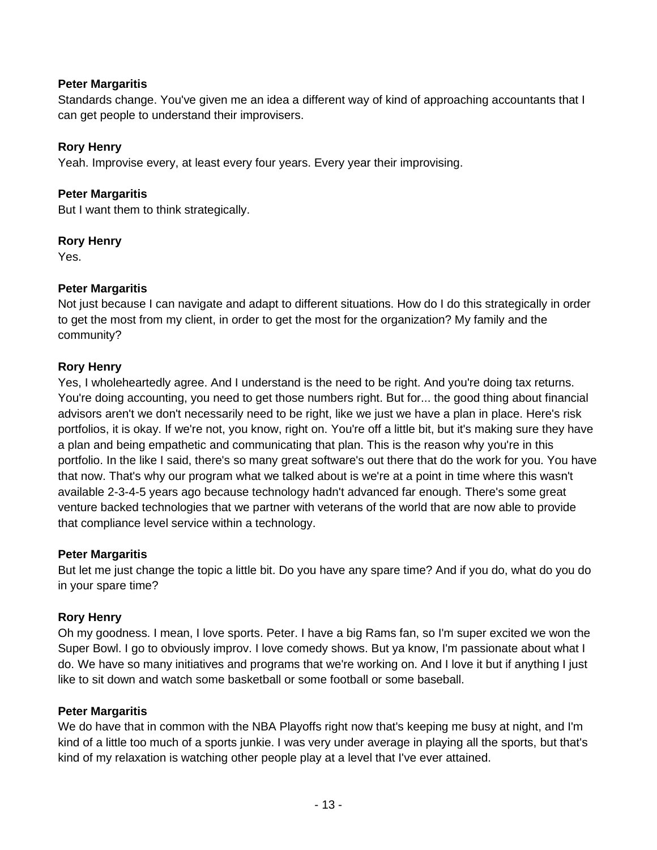#### **Peter Margaritis**

Standards change. You've given me an idea a different way of kind of approaching accountants that I can get people to understand their improvisers.

#### **Rory Henry**

Yeah. Improvise every, at least every four years. Every year their improvising.

#### **Peter Margaritis**

But I want them to think strategically.

#### **Rory Henry**

Yes.

#### **Peter Margaritis**

Not just because I can navigate and adapt to different situations. How do I do this strategically in order to get the most from my client, in order to get the most for the organization? My family and the community?

#### **Rory Henry**

Yes, I wholeheartedly agree. And I understand is the need to be right. And you're doing tax returns. You're doing accounting, you need to get those numbers right. But for... the good thing about financial advisors aren't we don't necessarily need to be right, like we just we have a plan in place. Here's risk portfolios, it is okay. If we're not, you know, right on. You're off a little bit, but it's making sure they have a plan and being empathetic and communicating that plan. This is the reason why you're in this portfolio. In the like I said, there's so many great software's out there that do the work for you. You have that now. That's why our program what we talked about is we're at a point in time where this wasn't available 2-3-4-5 years ago because technology hadn't advanced far enough. There's some great venture backed technologies that we partner with veterans of the world that are now able to provide that compliance level service within a technology.

#### **Peter Margaritis**

But let me just change the topic a little bit. Do you have any spare time? And if you do, what do you do in your spare time?

#### **Rory Henry**

Oh my goodness. I mean, I love sports. Peter. I have a big Rams fan, so I'm super excited we won the Super Bowl. I go to obviously improv. I love comedy shows. But ya know, I'm passionate about what I do. We have so many initiatives and programs that we're working on. And I love it but if anything I just like to sit down and watch some basketball or some football or some baseball.

#### **Peter Margaritis**

We do have that in common with the NBA Playoffs right now that's keeping me busy at night, and I'm kind of a little too much of a sports junkie. I was very under average in playing all the sports, but that's kind of my relaxation is watching other people play at a level that I've ever attained.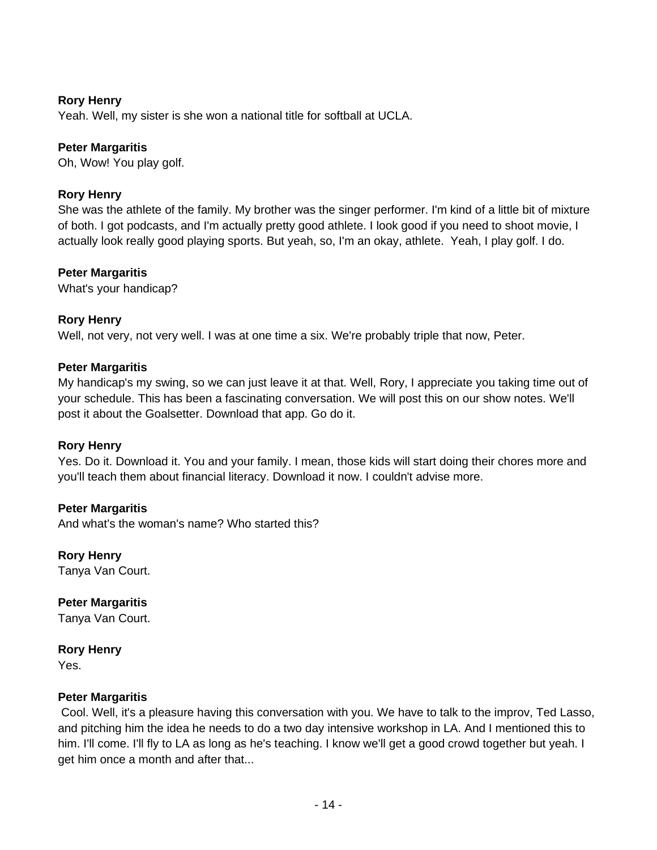Yeah. Well, my sister is she won a national title for softball at UCLA.

## **Peter Margaritis**

Oh, Wow! You play golf.

#### **Rory Henry**

She was the athlete of the family. My brother was the singer performer. I'm kind of a little bit of mixture of both. I got podcasts, and I'm actually pretty good athlete. I look good if you need to shoot movie, I actually look really good playing sports. But yeah, so, I'm an okay, athlete. Yeah, I play golf. I do.

#### **Peter Margaritis**

What's your handicap?

#### **Rory Henry**

Well, not very, not very well. I was at one time a six. We're probably triple that now, Peter.

#### **Peter Margaritis**

My handicap's my swing, so we can just leave it at that. Well, Rory, I appreciate you taking time out of your schedule. This has been a fascinating conversation. We will post this on our show notes. We'll post it about the Goalsetter. Download that app. Go do it.

#### **Rory Henry**

Yes. Do it. Download it. You and your family. I mean, those kids will start doing their chores more and you'll teach them about financial literacy. Download it now. I couldn't advise more.

#### **Peter Margaritis**

And what's the woman's name? Who started this?

**Rory Henry**  Tanya Van Court.

**Peter Margaritis**  Tanya Van Court.

**Rory Henry** 

Yes.

#### **Peter Margaritis**

Cool. Well, it's a pleasure having this conversation with you. We have to talk to the improv, Ted Lasso, and pitching him the idea he needs to do a two day intensive workshop in LA. And I mentioned this to him. I'll come. I'll fly to LA as long as he's teaching. I know we'll get a good crowd together but yeah. I get him once a month and after that...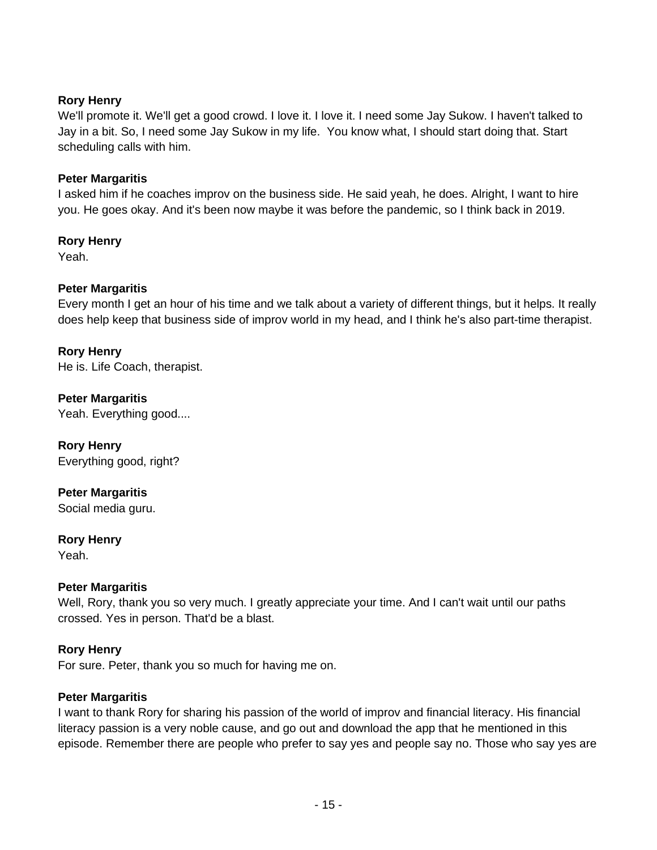We'll promote it. We'll get a good crowd. I love it. I love it. I need some Jay Sukow. I haven't talked to Jay in a bit. So, I need some Jay Sukow in my life. You know what, I should start doing that. Start scheduling calls with him.

#### **Peter Margaritis**

I asked him if he coaches improv on the business side. He said yeah, he does. Alright, I want to hire you. He goes okay. And it's been now maybe it was before the pandemic, so I think back in 2019.

#### **Rory Henry**

Yeah.

#### **Peter Margaritis**

Every month I get an hour of his time and we talk about a variety of different things, but it helps. It really does help keep that business side of improv world in my head, and I think he's also part-time therapist.

#### **Rory Henry**

He is. Life Coach, therapist.

## **Peter Margaritis**

Yeah. Everything good....

#### **Rory Henry**  Everything good, right?

**Peter Margaritis** 

Social media guru.

## **Rory Henry**

Yeah.

## **Peter Margaritis**

Well, Rory, thank you so very much. I greatly appreciate your time. And I can't wait until our paths crossed. Yes in person. That'd be a blast.

## **Rory Henry**

For sure. Peter, thank you so much for having me on.

#### **Peter Margaritis**

I want to thank Rory for sharing his passion of the world of improv and financial literacy. His financial literacy passion is a very noble cause, and go out and download the app that he mentioned in this episode. Remember there are people who prefer to say yes and people say no. Those who say yes are